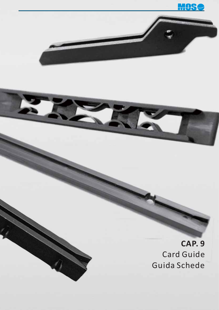

**CAP. 9** Card Guide Guida Schede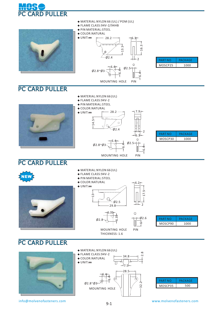

|                | ◆ PIN MATERIAL:STEEL<br>◆ COLOR:NATURAL<br>$\blacklozenge$ UNIT:mm<br>$-28.2 -$<br>$+6.3$<br>16.3<br>Ļ<br>$\frac{3}{1}$<br>⊕<br>Ø2.4<br>$\overline{2}$<br>$Ø2.5+$<br>$6.4 -$<br>$Ø2.8^{\sim}Ø3^-$<br><del>ل</del><br>6<br>MOUNTING HOLE<br>PIN                                                              | <b>PART NO</b><br><b>PACKAGE</b><br>MOSCP25<br>1000 |
|----------------|-------------------------------------------------------------------------------------------------------------------------------------------------------------------------------------------------------------------------------------------------------------------------------------------------------------|-----------------------------------------------------|
| PC CARD PULLER |                                                                                                                                                                                                                                                                                                             |                                                     |
|                | ◆ MATERIAL:NYLON 66 (UL)<br>◆ FLAME CLASS:94V-2<br>◆ PIN MATERIAL:STEEL<br>◆ COLOR:NATURAL<br>$7.9$ <sup>-</sup><br>$28.2 -$<br>$\blacklozenge$ UNIT:mm<br>$-14.5-$<br>$\circ$<br>$\emptyset$ 2.4<br>$\emptyset$ 2.5 -<br>$6.4 -$<br>$Ø2.8^{\sim}Ø3$<br>व.<br>७<br>MOUNTING HOLE<br>PIN                     | <b>PACKAGE</b><br><b>PART NO</b><br>MOSCP30<br>1000 |
| PC CARD PULLER |                                                                                                                                                                                                                                                                                                             |                                                     |
| <b>NEW</b>     | ◆ MATERIAL:NYLON 66 (UL)<br>◆ FLAME CLASS:94V-2<br>◆ PIN MATERIAL:STEEL<br>◆ COLOR:NATURAL<br>76.2<br>$\blacklozenge$ UNIT:mm<br>ம்<br>$\frac{1}{3}$<br>$\overline{ }$<br>$\phi$ 2.5<br>$-2$<br>$29.8 -$<br>6.35<br>$\odot$<br>6.35<br>$-02.6$<br>$\phi$ 2.8<br>€<br>PIN<br>MOUNTING HOLE<br>THICKNESS: 1.6 | <b>PACKAGE</b><br><b>PART NO</b><br>MOSCP90<br>1000 |
| PC CARD PULLER |                                                                                                                                                                                                                                                                                                             |                                                     |
|                | ◆ MATERIAL:NYLON 66 (UL)<br>$\infty$<br>◆ FLAME CLASS:94V-2<br>$\overline{\sim}$<br>$34.8 -$<br>◆ COLOR:NATURAL<br>$\blacklozenge$ UNIT:mm<br>$-17.5 -$<br>$-28.5$                                                                                                                                          |                                                     |

**◆** MATERIAL:NYLON 66 (UL) / POM (UL)

**◆** FLAME CLASS:94V-2/94HB

info@molvenofasteners.com www.molvenofasteners.com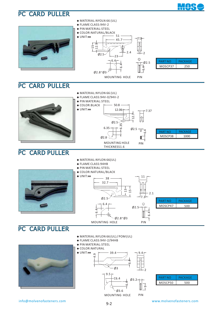

### PC CARD PULLER



info@molvenofasteners.com www.molvenofasteners.com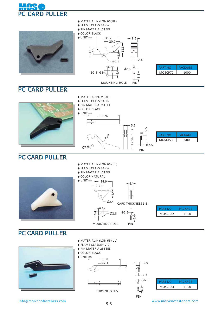



#### PC CARD PULLER

- **◆** MATERIAL:NYLON 66 (UL)
- **◆** FLAME CLASS: 94V-2
- **◆** PIN MATERIAL:STEEL
- **◆** COLOR:NATURAL



#### PC CARD PULLER

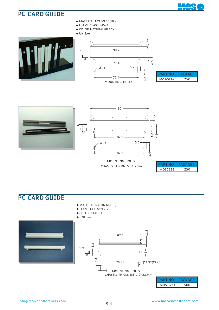

- **◆** MATERIAL:NYLON 66 (UL)
- **◆** FLAME CLASS:94V-2
- **◆** COLOR:NATURAL/BLACK

**◆** UNIT:**㎜**





| PART    | PACKAGE |
|---------|---------|
| MOSCG9A |         |

╇



#### MOUNTING HOLES CHASSIS THICKNESS 1.2mm

| A R7    | СКАСЕ |
|---------|-------|
| MOSCG9B |       |

- **◆** MATERIAL:NYLON 66 (UL)
- **◆** FLAME CLASS:94V-2
- **◆** COLOR:NATURAL







| PARI    | PACKAGE |
|---------|---------|
| MOSCG9D |         |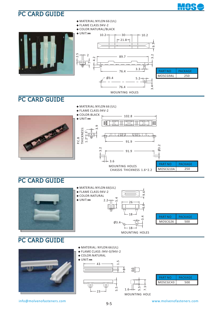

#### PC CARD GUIDE



#### PC CARD GUIDE



#### PC CARD GUIDE



- **◆** MATERIAL: NYLON 66 (UL)
- **◆** FLAME CLASS :94V-0/94V-2
- **◆** COLOR:NATURAL
- **◆** UNIT:**㎜**



PART NO FACKAGE MOSCGC43 500

WOS

 $\ddotmark$ 

MOUNTING HOLE

info@molvenofasteners.com www.molvenofasteners.com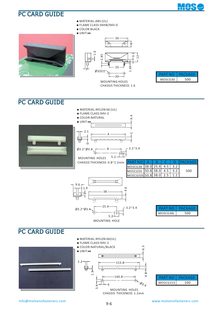

- **◆** MATERIAL:ABS (UL)
- **◆** FLAME CLASS: 94HB/94V-0
- **◆** COLOR:BLACK
- **◆** UNIT:**㎜**













| PARI     | 1 C K A G F |
|----------|-------------|
| MOSCG153 |             |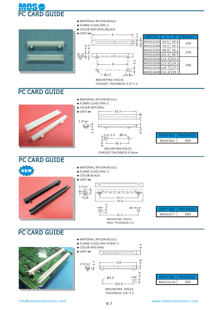

| $\triangle$ MATERIAL: NYLON 66(UL)<br>$\bullet$ FLAME CLASS:94V-2<br>◆ COLOR:NATURAL/BLACK |                          |                      |      |      |                |
|--------------------------------------------------------------------------------------------|--------------------------|----------------------|------|------|----------------|
| $\triangle$ UNIT:mm                                                                        | $\overline{ }$<br>$\sim$ | <b>PART NO</b>       | A    | B    | <b>PACKAGE</b> |
|                                                                                            | ᡅ                        | MOSCG250             | 63.5 | 50.8 | 500            |
| $\ddot{a}$ ive                                                                             | $\circ$                  | MOSCG300             | 76.2 | 63.5 |                |
| $\omega$ 4                                                                                 |                          | MOSCG350 88.9        |      | 76.2 | 250            |
|                                                                                            |                          | MOSCG400 101.6 88.9  |      |      |                |
| ₩                                                                                          |                          | MOSCG450 114.3 101.6 |      |      |                |
|                                                                                            | Ņ<br>$\sim$              | MOSCG500 127.0 114.3 |      |      | 200            |
|                                                                                            |                          | MOSCG550139.7 127.0  |      |      |                |
| $-03.2$                                                                                    |                          | MOSCG600 152.4 139.7 |      |      |                |
| 1.4011117110110110101                                                                      | $-5.2-$                  |                      |      |      |                |

MOUNTING HOLES CHASSIS THICKNESS 0.8~1.2

### PC CARD GUIDE

- **◆** MATERIAL:NYLON 66 (UL)
- **◆** FLAME CLASS: 94V-2
- **◆** COLOR:NATURAL





| PART    | PACKAGE |
|---------|---------|
| MOSCG63 | חח      |

#### PC CARD GUIDE

- **◆** MATERIAL:NYLON 66 (UL)
- **◆** FLAME CLASS: 94V-2
- **◆** COLOR:BLACK







6.3

| PART    | PACKAGE |
|---------|---------|
| MOSCG77 | חה      |



- **◆** MATERIAL:NYLON 66 (UL)
- **◆** FLAME CLASS: 94V-0/94V-2







|          | РАСКАСТЕ |
|----------|----------|
| MOSCG110 | 1 N N    |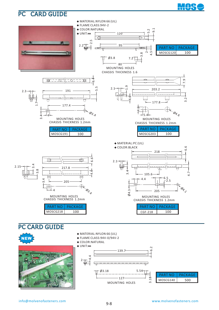

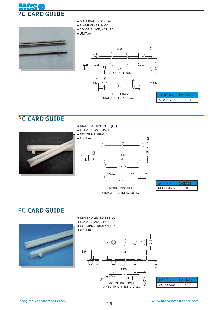



- **◆** MATERIAL:NYLON 66 (UL)
- **◆** FLAME CLASS:94V-2
- **◆** COLOR:BLACK/NATURAL

#### **◆** UNIT:**㎜**





### PC CARD GUIDE



 MOUNTING HOLES CHASSIS THICKNESS 0.8~1.2

| <b>ART NA</b> | ACK AGE |
|---------------|---------|
| MOSCG450S     |         |

### PC CARD GUIDE



- **◆** MATERIAL:NYLON 66 (UL)
- **◆** FLAME CLASS:94V-2
- **◆** COLOR:NATURAL/BLACK

#### **◆** UNIT:**㎜**

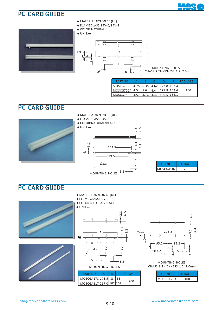





- **◆** FLAME CLASS:94V-0/94V-2
- **◆** COLOR:NATURAL

#### **◆** UNIT:**㎜**



MOUNTING HOLES CHASSIS THICKNESS 1.2~2.3mm

| <b>PART NO</b>                                |  |  | <b>I PACKAGE</b> |
|-----------------------------------------------|--|--|------------------|
| MOSCG700   4.75   6.35   4.62   177.8   152.4 |  |  |                  |
| MOSCG700A 4.5 5.6 4.4 177.8 152.4             |  |  | 100              |
| MOSCG750 4.57 5.71 4.47 190.5 165.1           |  |  |                  |

#### PC CARD GUIDE

- **◆** MATERIAL:NYLON 66 (UL)
- **◆** FLAME CLASS:94V-2
- **◆** COLOR:NATURAL/BLACK







| PARINO    | PACKAGE |  |  |
|-----------|---------|--|--|
| MOSCGA102 |         |  |  |

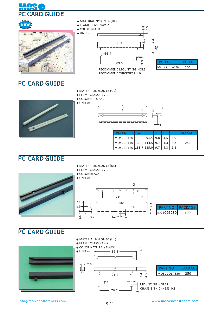

- **◆** MATERIAL:NYLON 66 (UL)
- **◆** FLAME CLASS:94V-2
- **◆** COLOR:NATURAL

**◆** UNIT:**㎜**





| <b>PART NO</b>                |  |     | PACKAGE |
|-------------------------------|--|-----|---------|
| MOSCGB120 119.0 94.5 9.8      |  |     |         |
| MOSCGB140   139.8 114.5 9.7   |  | 4.3 | 250     |
| MOSCGB160   158.7   135.0 9.7 |  |     |         |

E

#### PC CARD GUIDE

- **◆** MATERIAL:NYLON 66 (UL) **◆** FLAME CLASS:94V-2
- **◆** COLOR:BLACK

3 ว

1.5





 $\sim$ 

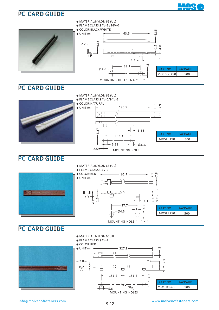

MOUNTING HOLES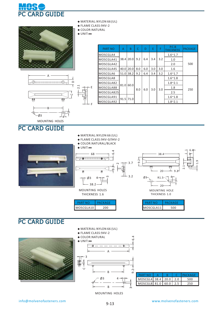



A

B

 $\bm\cup$ 

 $\mathsf{\Omega}$ 

2.1

ო

4

 $\subset$ 

MOUNTING HOLES



- **◆** FLAME CLASS:94V-2
- **◆** COLOR:NATURAL
- 
- 

E

F

**◆** UNIT:**㎜**

| <b>PART NO</b> | A    | B    | C   | D   | E   | F   | P.C.B<br>THICKNESS | <b>IPACKAGE</b> |  |
|----------------|------|------|-----|-----|-----|-----|--------------------|-----------------|--|
| MOSCGLA4       |      |      |     |     |     |     | $1.6^{\sim}1.7$    |                 |  |
| MOSCGLA41      | 38.4 | 20.0 | 9.2 | 6.4 | 3.4 | 3.2 | 1.0                |                 |  |
| MOSCGLA42      |      |      |     |     |     |     | 2.0                | 500             |  |
| MOSCGLA4S      | 40.0 | 20.0 | 8.0 | 6.0 | 3.0 | 3.0 | 1.6                |                 |  |
| MOSCGLA6       | 51.0 | 38.2 | 9.2 | 6.4 | 3.4 | 3.2 | $1.6^{\sim}1.7$    |                 |  |
| MOSCGLA8       | 81.0 |      |     |     |     |     |                    | $1.6^{\sim}1.8$ |  |
| MOSCGLA82      |      |      |     |     |     |     |                    | $1.8^{\sim}2.1$ |  |
| MOSCGLA88      |      | 60.0 | 8.0 | 6.0 | 3.0 | 3.0 | 1.8                | 250             |  |
| MOSCGLA825     |      |      |     |     |     |     | 2.5                |                 |  |
| MOSCGLA91      | 91.5 | 71.0 |     |     |     |     | $1.6^{\sim}1.8$    |                 |  |
| MOSCGLA92      |      |      |     |     |     |     | $1.8^{\sim}2.1$    |                 |  |

#### PC CARD GUIDE

Ø3

- **◆** MATERIAL:NYLON 66 (UL)
- **◆** FLAME CLASS:94V-0/94V-2

6.4

m

 $\scriptstyle\sim$ 9.2

- 
- 
- 
- 







- -









- 
- 



<del>.</del><br>Pegang pang pang

 $Q_3$ 

IJ















 $-68 -$ 







B MOUNTING HOLES

A

B

Ø3

4

PC CARD GUIDE

**◆** MATERIAL:NYLON 66 (UL) **◆** FLAME CLASS:94V-2 38.2 MOUNTING HOLES THICKNESS 1.6 PART NO PACKAGE

3.7

 $-3.2$ 

6.4

 $\sim$ 



3 6.4

1.9

MOUNTING HOLE THICKNESS 1.0

38.4

| PARINI)   | PACKAGE |
|-----------|---------|
| MOSCGLA11 |         |



**◆** COLOR:NATURAL

 $\overline{\Phi}$ 

**◆** UNIT:**㎜**

3

 $\cup$ 

Ē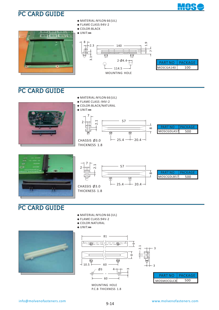



- **◆** MATERIAL:NYLON 66 (UL)
- **◆** FLAME CLASS:94V-2
- **◆** COLOR:BLACK

**◆** UNIT:**㎜**



| PART NO   | PACKAGE |
|-----------|---------|
| MOSCGA140 | 1 በ በ   |

#### PC CARD GUIDE







#### PART NO PACKAGE MOSCGDLB57 500

## PC CARD GUIDE

- **◆** MATERIAL:NYLON 66 (UL)
- **◆** FLAME CLASS:94V-2
- **◆** COLOR:NATURAL
- **◆** UNIT:**㎜**





P.C.B THICKNESS 1.8



3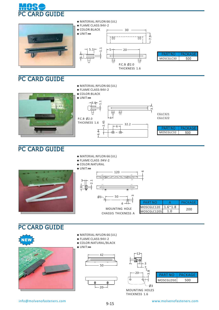



**◆** MATERIAL:NYLON 66 (UL)

1.1

2.45

4

6

⊕  $\oplus$  32.2

**◆** FLAME CLASS:94V-2

3.6

**◆** COLOR:BLACK



# PC CARD GUIDE

**◆** MATERIAL:NYLON 66 (UL)

6.4

- **◆** FLAME CLASS :94V-2
- **◆** COLOR:NATURAL



#### 120 م 50 MOUNTING HOLE Ø3  $\overline{A}$ ကို 2.1 CHASSIS THICKNESS A

|                        | PACKAGE |
|------------------------|---------|
| $MOSCGLC120$   1.6~1.8 | 200     |
| MOSCGLC120S            |         |
|                        |         |

.<br>თ

CGLC321 CGLC322

MOSCGLC32

**PART NO** 

**PACKAGE** 

500

#### **PC CARD GUIDE**





- **◆** MATERIAL:NYLON 66 (UL)
- **◆** FLAME CLASS: 94V-2
- **◆** COLOR:NATURAL/BLACK
- **◆** UNIT:**㎜**



 $2<sub>0</sub>$ 



| ואמי      | ACKAGE |
|-----------|--------|
| MOSCGLD50 |        |

MOUNTING HOLES THICKNESS 1.6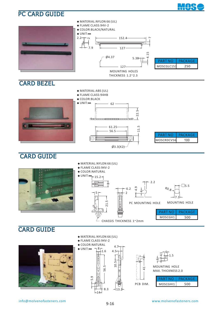



### CARD GUIDE





- **◆** FLAME CLASS:94V-2
- **◆** COLOR:NATURAL





4

|          | 40.KAG- |
|----------|---------|
| MOSCGHI1 |         |

Ņ.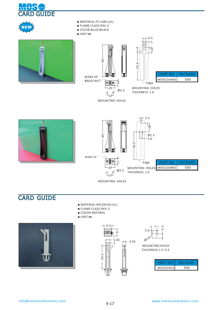







- **◆** FLAME CLASS: 94V-2
- **◆** COLOR:BLUE/BLACK
- **◆** UNIT:**㎜**



MOUNTING HOLES







#### CARD GUIDE

- **◆** MATERIAL:NYLON 66 (UL)
- **◆** FLAME CLASS:94V-2
- **◆** COLOR:NATURAL
- **◆** UNIT:**㎜**







 MOUNTING HOLES THICKNESS 1.2~2.0

| PARI     | PACKAGE |
|----------|---------|
| MOSCGH31 |         |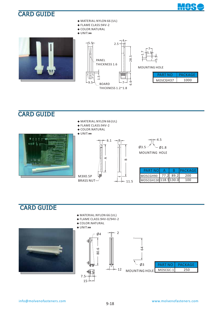#### CARD GUIDE



**◆** MATERIAL:NYLON 66 (UL) **◆** FLAME CLASS: 94V-2 **◆** COLOR:NATURAL **◆** UNIT:**㎜** MOSCGH37 PART NO FACKAGE 1000 1.7 PANEL THICKNESS 1.6 MOUNTING HOLE 7 4  $15.5 - 2.5$ 28.  $\dot{\circ}$ 7 .<br>1.5  $-9.5 - \times$ BOARD THICKNESS 1.2~1.8 5.5 5.5

### CARD GUIDE

**◆** FLAME CLASS:94V-2 **◆** COLOR:NATURAL **◆** UNIT:**㎜** 4.5 6.1  $-9$  $\emptyset$ 3.5  $\sim$  01.8 MOUNTING HOLE A $\infty$ 21 PART NO A B **PACKAGE** MOSCGH90 77.2 89.2 200 M3X0.5P MOSCGH130 118.5 130.0 100 BRASS NUT  $-11.5$ 

**◆** MATERIAL:NYLON 66 (UL)

#### CARD GUIDE **◆** MATERIAL:NYLON 66 (UL) **◆** FLAME CLASS:94V-0/94V-2 **◆** COLOR:NATURAL **◆** UNIT:**㎜** 2  $Ø4$ 악  $\mathfrak{p}$ 80.6 Ø3 PART NO PACKAGE Ή  $-12$ MOSCGC-1 250 MOUNTING HOLE 7.5 15